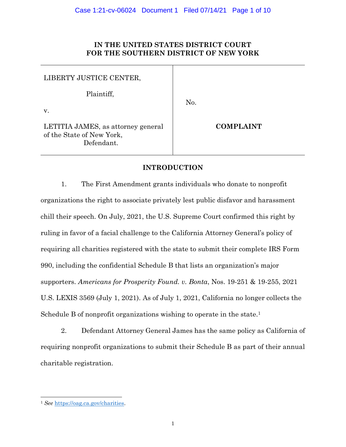# **IN THE UNITED STATES DISTRICT COURT FOR THE SOUTHERN DISTRICT OF NEW YORK**

| LIBERTY JUSTICE CENTER,                                                       |                  |
|-------------------------------------------------------------------------------|------------------|
| Plaintiff,<br>V.                                                              | No.              |
| LETITIA JAMES, as attorney general<br>of the State of New York,<br>Defendant. | <b>COMPLAINT</b> |

# **INTRODUCTION**

1. The First Amendment grants individuals who donate to nonprofit organizations the right to associate privately lest public disfavor and harassment chill their speech. On July, 2021, the U.S. Supreme Court confirmed this right by ruling in favor of a facial challenge to the California Attorney General's policy of requiring all charities registered with the state to submit their complete IRS Form 990, including the confidential Schedule B that lists an organization's major supporters. *Americans for Prosperity Found. v. Bonta*, Nos. 19-251 & 19-255, 2021 U.S. LEXIS 3569 (July 1, 2021). As of July 1, 2021, California no longer collects the Schedule B of nonprofit organizations wishing to operate in the state.<sup>1</sup>

2. Defendant Attorney General James has the same policy as California of requiring nonprofit organizations to submit their Schedule B as part of their annual charitable registration.

<sup>1</sup> *See* [https://oag.ca.gov/charities.](https://oag.ca.gov/charities)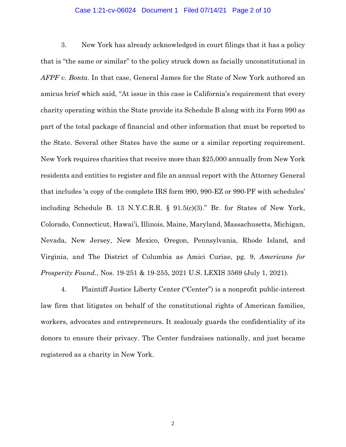#### Case 1:21-cv-06024 Document 1 Filed 07/14/21 Page 2 of 10

3. New York has already acknowledged in court filings that it has a policy that is "the same or similar" to the policy struck down as facially unconstitutional in *AFPF v. Bonta*. In that case, General James for the State of New York authored an amicus brief which said, "At issue in this case is California's requirement that every charity operating within the State provide its Schedule B along with its Form 990 as part of the total package of financial and other information that must be reported to the State. Several other States have the same or a similar reporting requirement. New York requires charities that receive more than \$25,000 annually from New York residents and entities to register and file an annual report with the Attorney General that includes 'a copy of the complete IRS form 990, 990-EZ or 990-PF with schedules' including Schedule B. 13 N.Y.C.R.R. § 91.5(c)(3)." Br. for States of New York, Colorado, Connecticut, Hawai'i, Illinois, Maine, Maryland, Massachusetts, Michigan, Nevada, New Jersey, New Mexico, Oregon, Pennsylvania, Rhode Island, and Virginia, and The District of Columbia as Amici Curiae, pg. 9, *Americans for Prosperity Found.*, Nos. 19-251 & 19-255, 2021 U.S. LEXIS 3569 (July 1, 2021).

4. Plaintiff Justice Liberty Center ("Center") is a nonprofit public-interest law firm that litigates on behalf of the constitutional rights of American families, workers, advocates and entrepreneurs. It zealously guards the confidentiality of its donors to ensure their privacy. The Center fundraises nationally, and just became registered as a charity in New York.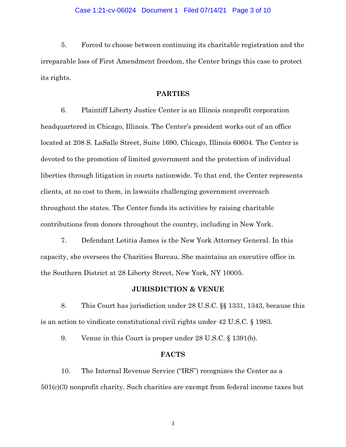#### Case 1:21-cv-06024 Document 1 Filed 07/14/21 Page 3 of 10

5. Forced to choose between continuing its charitable registration and the irreparable loss of First Amendment freedom, the Center brings this case to protect its rights.

## **PARTIES**

6. Plaintiff Liberty Justice Center is an Illinois nonprofit corporation headquartered in Chicago, Illinois. The Center's president works out of an office located at 208 S. LaSalle Street, Suite 1690, Chicago, Illinois 60604. The Center is devoted to the promotion of limited government and the protection of individual liberties through litigation in courts nationwide. To that end, the Center represents clients, at no cost to them, in lawsuits challenging government overreach throughout the states. The Center funds its activities by raising charitable contributions from donors throughout the country, including in New York.

7. Defendant Letitia James is the New York Attorney General. In this capacity, she oversees the Charities Bureau. She maintains an executive office in the Southern District at 28 Liberty Street, New York, NY 10005.

## **JURISDICTION & VENUE**

8. This Court has jurisdiction under 28 U.S.C. §§ 1331, 1343, because this is an action to vindicate constitutional civil rights under 42 U.S.C. § 1983.

9. Venue in this Court is proper under 28 U.S.C. § 1391(b).

## **FACTS**

10. The Internal Revenue Service ("IRS") recognizes the Center as a 501(c)(3) nonprofit charity. Such charities are exempt from federal income taxes but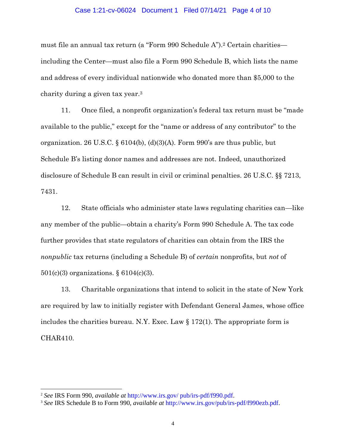#### Case 1:21-cv-06024 Document 1 Filed 07/14/21 Page 4 of 10

must file an annual tax return (a "Form 990 Schedule A").<sup>2</sup> Certain charities including the Center—must also file a Form 990 Schedule B, which lists the name and address of every individual nationwide who donated more than \$5,000 to the charity during a given tax year.<sup>3</sup>

11. Once filed, a nonprofit organization's federal tax return must be "made available to the public," except for the "name or address of any contributor" to the organization. 26 U.S.C. § 6104(b), (d)(3)(A). Form 990's are thus public, but Schedule B's listing donor names and addresses are not. Indeed, unauthorized disclosure of Schedule B can result in civil or criminal penalties. 26 U.S.C. §§ 7213, 7431.

12. State officials who administer state laws regulating charities can—like any member of the public—obtain a charity's Form 990 Schedule A. The tax code further provides that state regulators of charities can obtain from the IRS the *nonpublic* tax returns (including a Schedule B) of *certain* nonprofits, but *not* of 501(c)(3) organizations. § 6104(c)(3).

13. Charitable organizations that intend to solicit in the state of New York are required by law to initially register with Defendant General James, whose office includes the charities bureau. N.Y. Exec. Law  $\S 172(1)$ . The appropriate form is CHAR410.

<sup>2</sup> *See* IRS Form 990, *available at* http://www.irs.gov/ pub/irs-pdf/f990.pdf.

<sup>3</sup> *See* IRS Schedule B to Form 990, *available at* http://www.irs.gov/pub/irs-pdf/f990ezb.pdf.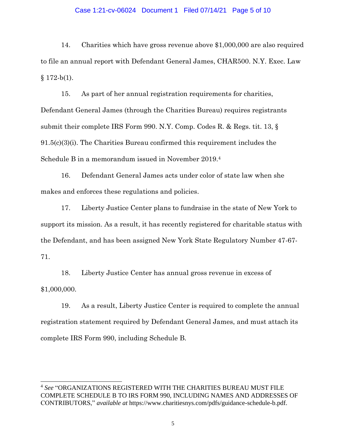#### Case 1:21-cv-06024 Document 1 Filed 07/14/21 Page 5 of 10

14. Charities which have gross revenue above \$1,000,000 are also required to file an annual report with Defendant General James, CHAR500. N.Y. Exec. Law  $§ 172-b(1).$ 

15. As part of her annual registration requirements for charities, Defendant General James (through the Charities Bureau) requires registrants submit their complete IRS Form 990. N.Y. Comp. Codes R. & Regs. tit. 13, § 91.5(c)(3)(i). The Charities Bureau confirmed this requirement includes the Schedule B in a memorandum issued in November 2019.<sup>4</sup>

16. Defendant General James acts under color of state law when she makes and enforces these regulations and policies.

17. Liberty Justice Center plans to fundraise in the state of New York to support its mission. As a result, it has recently registered for charitable status with the Defendant, and has been assigned New York State Regulatory Number 47-67- 71.

18. Liberty Justice Center has annual gross revenue in excess of \$1,000,000.

19. As a result, Liberty Justice Center is required to complete the annual registration statement required by Defendant General James, and must attach its complete IRS Form 990, including Schedule B.

<sup>4</sup> *See* "ORGANIZATIONS REGISTERED WITH THE CHARITIES BUREAU MUST FILE COMPLETE SCHEDULE B TO IRS FORM 990, INCLUDING NAMES AND ADDRESSES OF CONTRIBUTORS," *available at* https://www.charitiesnys.com/pdfs/guidance-schedule-b.pdf.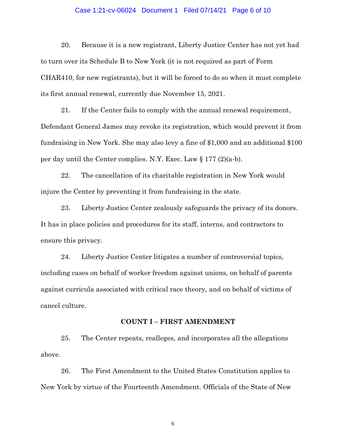#### Case 1:21-cv-06024 Document 1 Filed 07/14/21 Page 6 of 10

20. Because it is a new registrant, Liberty Justice Center has not yet had to turn over its Schedule B to New York (it is not required as part of Form CHAR410, for new registrants), but it will be forced to do so when it must complete its first annual renewal, currently due November 15, 2021.

21. If the Center fails to comply with the annual renewal requirement, Defendant General James may revoke its registration, which would prevent it from fundraising in New York. She may also levy a fine of \$1,000 and an additional \$100 per day until the Center complies. N.Y. Exec. Law  $\S 177 (2)(a-b)$ .

22. The cancellation of its charitable registration in New York would injure the Center by preventing it from fundraising in the state.

23. Liberty Justice Center zealously safeguards the privacy of its donors. It has in place policies and procedures for its staff, interns, and contractors to ensure this privacy.

24. Liberty Justice Center litigates a number of controversial topics, including cases on behalf of worker freedom against unions, on behalf of parents against curricula associated with critical race theory, and on behalf of victims of cancel culture.

#### **COUNT I – FIRST AMENDMENT**

25. The Center repeats, realleges, and incorporates all the allegations above.

26. The First Amendment to the United States Constitution applies to New York by virtue of the Fourteenth Amendment. Officials of the State of New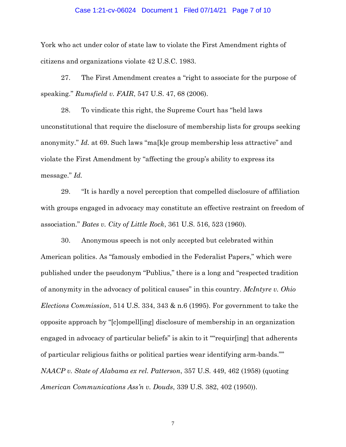#### Case 1:21-cv-06024 Document 1 Filed 07/14/21 Page 7 of 10

York who act under color of state law to violate the First Amendment rights of citizens and organizations violate 42 U.S.C. 1983.

27. The First Amendment creates a "right to associate for the purpose of speaking." *Rumsfield v. FAIR*, 547 U.S. 47, 68 (2006).

28. To vindicate this right, the Supreme Court has "held laws unconstitutional that require the disclosure of membership lists for groups seeking anonymity." *Id.* at 69. Such laws "ma[k]e group membership less attractive" and violate the First Amendment by "affecting the group's ability to express its message." *Id.* 

29. "It is hardly a novel perception that compelled disclosure of affiliation with groups engaged in advocacy may constitute an effective restraint on freedom of association." *Bates v. City of Little Rock*, 361 U.S. 516, 523 (1960).

30. Anonymous speech is not only accepted but celebrated within American politics. As "famously embodied in the Federalist Papers," which were published under the pseudonym "Publius," there is a long and "respected tradition of anonymity in the advocacy of political causes" in this country. *McIntyre v. Ohio Elections Commission*, 514 U.S. 334, 343 & n.6 (1995). For government to take the opposite approach by "[c]ompell[ing] disclosure of membership in an organization engaged in advocacy of particular beliefs" is akin to it ""requir[ing] that adherents of particular religious faiths or political parties wear identifying arm-bands."" *NAACP v. State of Alabama ex rel. Patterson*, 357 U.S. 449, 462 (1958) (quoting *American Communications Ass'n v. Douds*, 339 U.S. 382, 402 (1950)).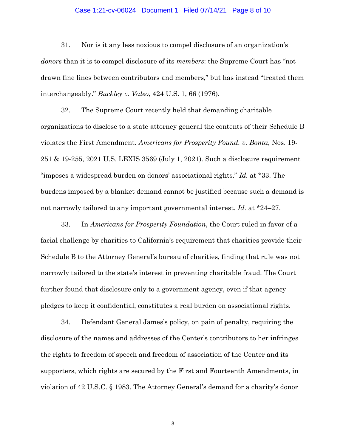#### Case 1:21-cv-06024 Document 1 Filed 07/14/21 Page 8 of 10

31. Nor is it any less noxious to compel disclosure of an organization's *donors* than it is to compel disclosure of its *members*: the Supreme Court has "not drawn fine lines between contributors and members," but has instead "treated them interchangeably." *Buckley v. Valeo*, 424 U.S. 1, 66 (1976).

32. The Supreme Court recently held that demanding charitable organizations to disclose to a state attorney general the contents of their Schedule B violates the First Amendment. *Americans for Prosperity Found. v. Bonta*, Nos. 19- 251 & 19-255, 2021 U.S. LEXIS 3569 (July 1, 2021). Such a disclosure requirement "imposes a widespread burden on donors' associational rights." *Id.* at \*33. The burdens imposed by a blanket demand cannot be justified because such a demand is not narrowly tailored to any important governmental interest. *Id.* at \*24–27.

33. In *Americans for Prosperity Foundation*, the Court ruled in favor of a facial challenge by charities to California's requirement that charities provide their Schedule B to the Attorney General's bureau of charities, finding that rule was not narrowly tailored to the state's interest in preventing charitable fraud. The Court further found that disclosure only to a government agency, even if that agency pledges to keep it confidential, constitutes a real burden on associational rights.

34. Defendant General James's policy, on pain of penalty, requiring the disclosure of the names and addresses of the Center's contributors to her infringes the rights to freedom of speech and freedom of association of the Center and its supporters, which rights are secured by the First and Fourteenth Amendments, in violation of 42 U.S.C. § 1983. The Attorney General's demand for a charity's donor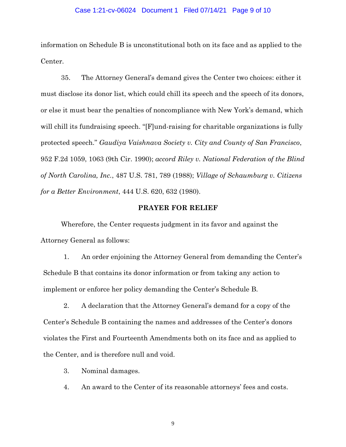#### Case 1:21-cv-06024 Document 1 Filed 07/14/21 Page 9 of 10

information on Schedule B is unconstitutional both on its face and as applied to the Center.

35. The Attorney General's demand gives the Center two choices: either it must disclose its donor list, which could chill its speech and the speech of its donors, or else it must bear the penalties of noncompliance with New York's demand, which will chill its fundraising speech. "[F]und-raising for charitable organizations is fully protected speech." *Gaudiya Vaishnava Society v. City and County of San Francisco*, 952 F.2d 1059, 1063 (9th Cir. 1990); *accord Riley v. National Federation of the Blind of North Carolina, Inc.*, 487 U.S. 781, 789 (1988); *Village of Schaumburg v. Citizens for a Better Environment*, 444 U.S. 620, 632 (1980).

## **PRAYER FOR RELIEF**

Wherefore, the Center requests judgment in its favor and against the Attorney General as follows:

1. An order enjoining the Attorney General from demanding the Center's Schedule B that contains its donor information or from taking any action to implement or enforce her policy demanding the Center's Schedule B.

2. A declaration that the Attorney General's demand for a copy of the Center's Schedule B containing the names and addresses of the Center's donors violates the First and Fourteenth Amendments both on its face and as applied to the Center, and is therefore null and void.

3. Nominal damages.

4. An award to the Center of its reasonable attorneys' fees and costs.